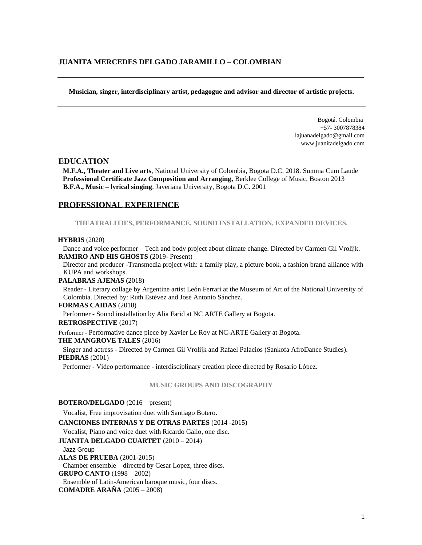**Musician, singer, interdisciplinary artist, pedagogue and advisor and director of artistic projects.**

Bogotá. Colombia +57- 3007878384 lajuanadelgado@gmail.com www.juanitadelgado.com

### **EDUCATION**

**M.F.A., Theater and Live arts**, National University of Colombia, Bogota D.C. 2018. Summa Cum Laude **Professional Certificate Jazz Composition and Arranging,** Berklee College of Music, Boston 2013 **B.F.A., Music – lyrical singing**, Javeriana University, Bogota D.C. 2001

### **PROFESSIONAL EXPERIENCE**

**THEATRALITIES, PERFORMANCE, SOUND INSTALLATION, EXPANDED DEVICES.**

#### **HYBRIS** (2020)

Dance and voice performer – Tech and body project about climate change. Directed by Carmen Gil Vrolijk. **RAMIRO AND HIS GHOSTS** (2019- Present)

Director and producer -Transmedia project with: a family play, a picture book, a fashion brand alliance with KUPA and workshops.

### **PALABRAS AJENAS** (2018)

Reader - Literary collage by Argentine artist León Ferrari at the Museum of Art of the National University of Colombia. Directed by: Ruth Estévez and José Antonio Sánchez.

#### **FORMAS CAIDAS** (2018)

Performer - Sound installation by Alia Farid at NC ARTE Gallery at Bogota.

# **RETROSPECTIVE** (2017)

Performer - Performative dance piece by Xavier Le Roy at NC-ARTE Gallery at Bogota.

# **THE MANGROVE TALES** (2016)

Singer and actress - Directed by Carmen Gil Vrolijk and Rafael Palacios (Sankofa AfroDance Studies). **PIEDRAS** (2001)

Performer - Video performance - interdisciplinary creation piece directed by Rosario López.

### **MUSIC GROUPS AND DISCOGRAPHY**

#### **BOTERO/DELGADO** (2016 – present)

Vocalist, Free improvisation duet with Santiago Botero.

**CANCIONES INTERNAS Y DE OTRAS PARTES** (2014 -2015)

Vocalist, Piano and voice duet with Ricardo Gallo, one disc.

**JUANITA DELGADO CUARTET** (2010 – 2014)

#### Jazz Group

**ALAS DE PRUEBA** (2001-2015)

Chamber ensemble – directed by Cesar Lopez, three discs.

**GRUPO CANTO** (1998 – 2002)

Ensemble of Latin-American baroque music, four discs.

**COMADRE ARAÑA** (2005 – 2008)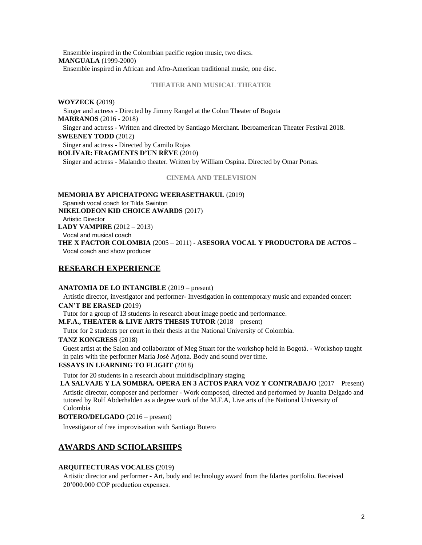Ensemble inspired in the Colombian pacific region music, two discs. **MANGUALA** (1999-2000)

Ensemble inspired in African and Afro-American traditional music, one disc.

### **THEATER AND MUSICAL THEATER**

### **WOYZECK (**2019)

Singer and actress - Directed by Jimmy Rangel at the Colon Theater of Bogota **MARRANOS** (2016 - 2018) Singer and actress - Written and directed by Santiago Merchant. Iberoamerican Theater Festival 2018. **SWEENEY TODD** (2012)

Singer and actress - Directed by Camilo Rojas

**BOLIVAR: FRAGMENTS D'UN RÈVE** (2010)

Singer and actress - Malandro theater. Written by William Ospina. Directed by Omar Porras.

#### **CINEMA AND TELEVISION**

**MEMORIA BY APICHATPONG WEERASETHAKUL** (2019) Spanish vocal coach for Tilda Swinton **NIKELODEON KID CHOICE AWARDS** (2017) Artistic Director **LADY VAMPIRE** (2012 – 2013) Vocal and musical coach **THE X FACTOR COLOMBIA** (2005 – 2011) **- ASESORA VOCAL Y PRODUCTORA DE ACTOS –** Vocal coach and show producer

# **RESEARCH EXPERIENCE**

### **ANATOMIA DE LO INTANGIBLE** (2019 – present)

Artistic director, investigator and performer- Investigation in contemporary music and expanded concert **CAN'T BE ERASED** (2019)

Tutor for a group of 13 students in research about image poetic and performance.

# **M.F.A., THEATER & LIVE ARTS THESIS TUTOR** (2018 – present)

Tutor for 2 students per court in their thesis at the National University of Colombia.

# **TANZ KONGRESS** (2018)

Guest artist at the Salon and collaborator of Meg Stuart for the workshop held in Bogotá. - Workshop taught in pairs with the performer María José Arjona. Body and sound over time.

# **ESSAYS IN LEARNING TO FLIGHT** (2018)

Tutor for 20 students in a research about multidisciplinary staging

**LA SALVAJE Y LA SOMBRA. OPERA EN 3 ACTOS PARA VOZ Y CONTRABAJO** (2017 – Present)

Artistic director, composer and performer - Work composed, directed and performed by Juanita Delgado and tutored by Rolf Abderhalden as a degree work of the M.F.A, Live arts of the National University of Colombia

# **BOTERO/DELGADO** (2016 – present)

Investigator of free improvisation with Santiago Botero

# **AWARDS AND SCHOLARSHIPS**

# **ARQUITECTURAS VOCALES (**2019**)**

Artistic director and performer - Art, body and technology award from the Idartes portfolio. Received 20'000.000 COP production expenses.